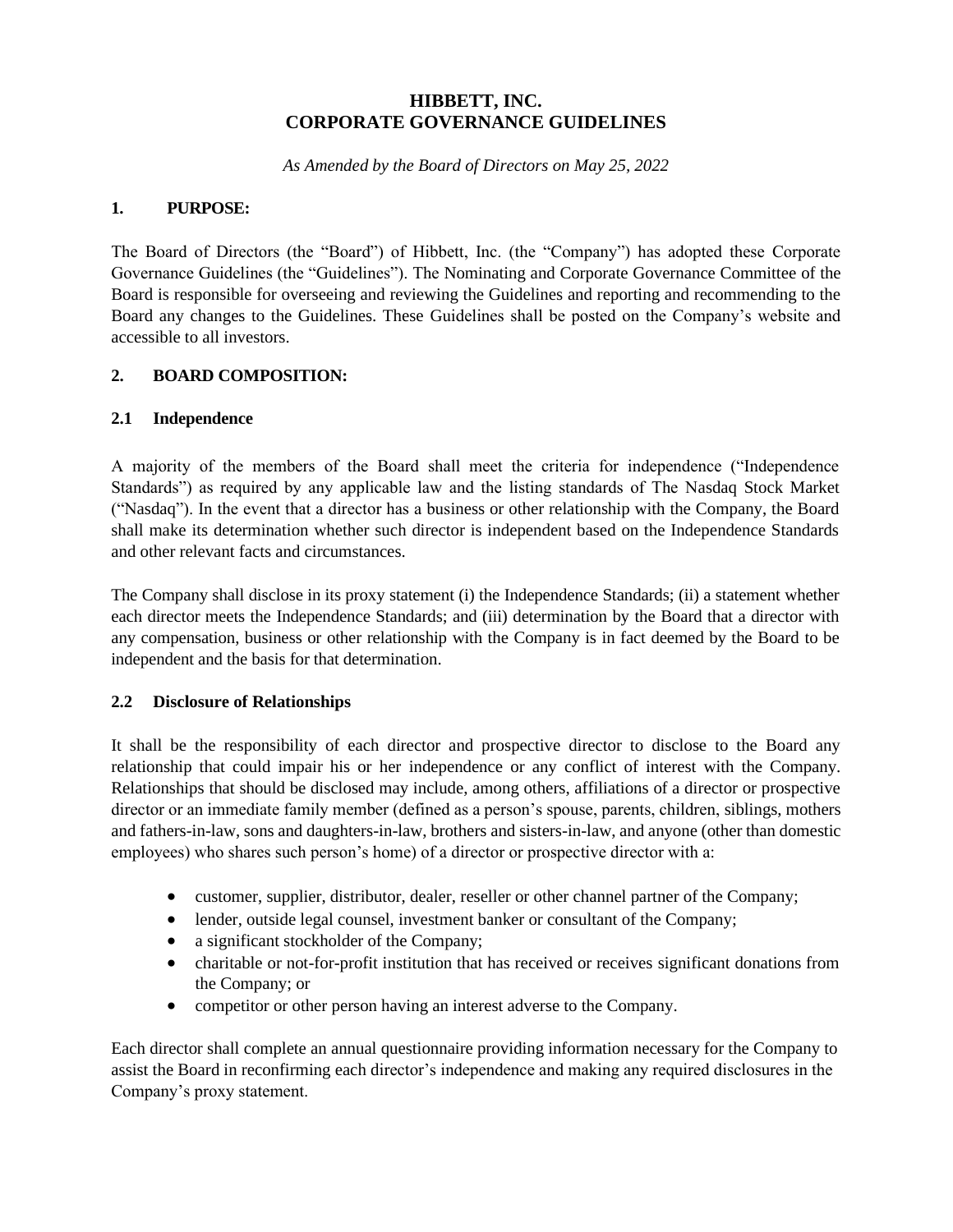### **HIBBETT, INC. CORPORATE GOVERNANCE GUIDELINES**

*As Amended by the Board of Directors on May 25, 2022*

### **1. PURPOSE:**

The Board of Directors (the "Board") of Hibbett, Inc. (the "Company") has adopted these Corporate Governance Guidelines (the "Guidelines"). The Nominating and Corporate Governance Committee of the Board is responsible for overseeing and reviewing the Guidelines and reporting and recommending to the Board any changes to the Guidelines. These Guidelines shall be posted on the Company's website and accessible to all investors.

### **2. BOARD COMPOSITION:**

#### **2.1 Independence**

A majority of the members of the Board shall meet the criteria for independence ("Independence Standards") as required by any applicable law and the listing standards of The Nasdaq Stock Market ("Nasdaq"). In the event that a director has a business or other relationship with the Company, the Board shall make its determination whether such director is independent based on the Independence Standards and other relevant facts and circumstances.

The Company shall disclose in its proxy statement (i) the Independence Standards; (ii) a statement whether each director meets the Independence Standards; and (iii) determination by the Board that a director with any compensation, business or other relationship with the Company is in fact deemed by the Board to be independent and the basis for that determination.

#### **2.2 Disclosure of Relationships**

It shall be the responsibility of each director and prospective director to disclose to the Board any relationship that could impair his or her independence or any conflict of interest with the Company. Relationships that should be disclosed may include, among others, affiliations of a director or prospective director or an immediate family member (defined as a person's spouse, parents, children, siblings, mothers and fathers-in-law, sons and daughters-in-law, brothers and sisters-in-law, and anyone (other than domestic employees) who shares such person's home) of a director or prospective director with a:

- customer, supplier, distributor, dealer, reseller or other channel partner of the Company;
- lender, outside legal counsel, investment banker or consultant of the Company;
- a significant stockholder of the Company;
- charitable or not-for-profit institution that has received or receives significant donations from the Company; or
- competitor or other person having an interest adverse to the Company.

Each director shall complete an annual questionnaire providing information necessary for the Company to assist the Board in reconfirming each director's independence and making any required disclosures in the Company's proxy statement.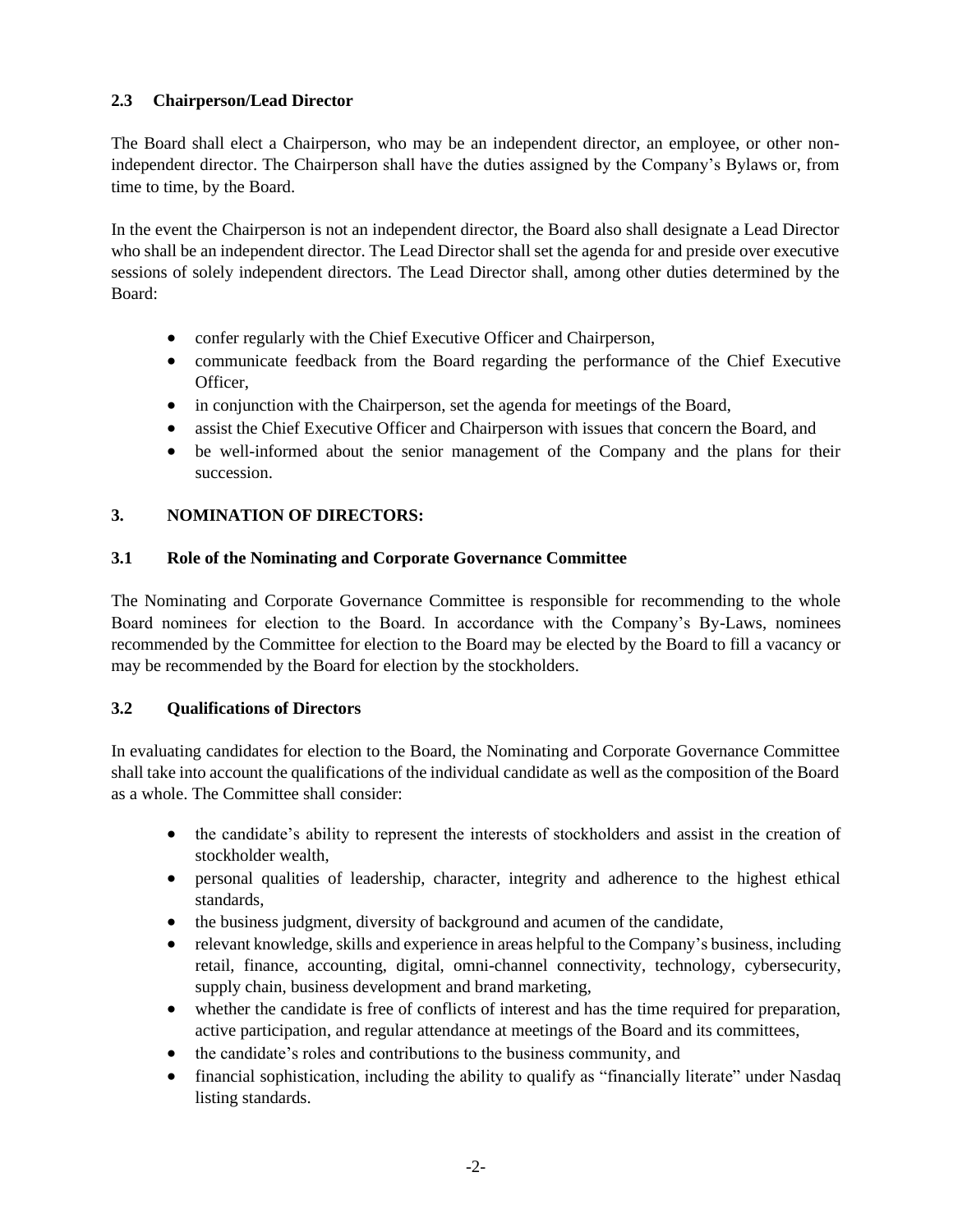### **2.3 Chairperson/Lead Director**

The Board shall elect a Chairperson, who may be an independent director, an employee, or other nonindependent director. The Chairperson shall have the duties assigned by the Company's Bylaws or, from time to time, by the Board.

In the event the Chairperson is not an independent director, the Board also shall designate a Lead Director who shall be an independent director. The Lead Director shall set the agenda for and preside over executive sessions of solely independent directors. The Lead Director shall, among other duties determined by the Board:

- confer regularly with the Chief Executive Officer and Chairperson,
- communicate feedback from the Board regarding the performance of the Chief Executive Officer,
- in conjunction with the Chairperson, set the agenda for meetings of the Board,
- assist the Chief Executive Officer and Chairperson with issues that concern the Board, and
- be well-informed about the senior management of the Company and the plans for their succession.

### **3. NOMINATION OF DIRECTORS:**

### **3.1 Role of the Nominating and Corporate Governance Committee**

The Nominating and Corporate Governance Committee is responsible for recommending to the whole Board nominees for election to the Board. In accordance with the Company's By-Laws, nominees recommended by the Committee for election to the Board may be elected by the Board to fill a vacancy or may be recommended by the Board for election by the stockholders.

### **3.2 Qualifications of Directors**

In evaluating candidates for election to the Board, the Nominating and Corporate Governance Committee shall take into account the qualifications of the individual candidate as well as the composition of the Board as a whole. The Committee shall consider:

- the candidate's ability to represent the interests of stockholders and assist in the creation of stockholder wealth,
- personal qualities of leadership, character, integrity and adherence to the highest ethical standards,
- the business judgment, diversity of background and acumen of the candidate,
- relevant knowledge, skills and experience in areas helpful to the Company's business, including retail, finance, accounting, digital, omni-channel connectivity, technology, cybersecurity, supply chain, business development and brand marketing,
- whether the candidate is free of conflicts of interest and has the time required for preparation, active participation, and regular attendance at meetings of the Board and its committees,
- the candidate's roles and contributions to the business community, and
- financial sophistication, including the ability to qualify as "financially literate" under Nasdaq listing standards.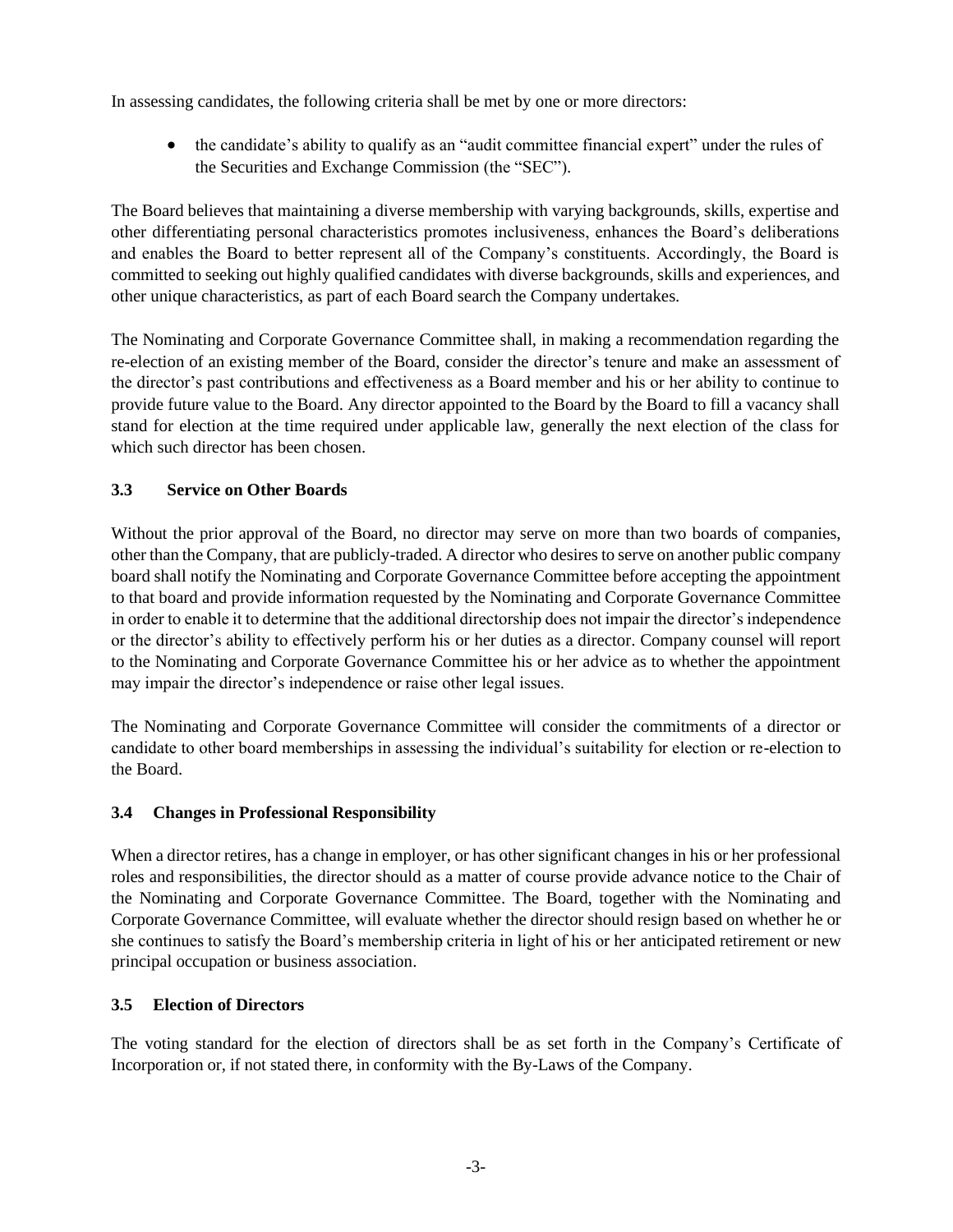In assessing candidates, the following criteria shall be met by one or more directors:

• the candidate's ability to qualify as an "audit committee financial expert" under the rules of the Securities and Exchange Commission (the "SEC").

The Board believes that maintaining a diverse membership with varying backgrounds, skills, expertise and other differentiating personal characteristics promotes inclusiveness, enhances the Board's deliberations and enables the Board to better represent all of the Company's constituents. Accordingly, the Board is committed to seeking out highly qualified candidates with diverse backgrounds, skills and experiences, and other unique characteristics, as part of each Board search the Company undertakes.

The Nominating and Corporate Governance Committee shall, in making a recommendation regarding the re-election of an existing member of the Board, consider the director's tenure and make an assessment of the director's past contributions and effectiveness as a Board member and his or her ability to continue to provide future value to the Board. Any director appointed to the Board by the Board to fill a vacancy shall stand for election at the time required under applicable law, generally the next election of the class for which such director has been chosen.

### **3.3 Service on Other Boards**

Without the prior approval of the Board, no director may serve on more than two boards of companies, other than the Company, that are publicly-traded. A director who desires to serve on another public company board shall notify the Nominating and Corporate Governance Committee before accepting the appointment to that board and provide information requested by the Nominating and Corporate Governance Committee in order to enable it to determine that the additional directorship does not impair the director's independence or the director's ability to effectively perform his or her duties as a director. Company counsel will report to the Nominating and Corporate Governance Committee his or her advice as to whether the appointment may impair the director's independence or raise other legal issues.

The Nominating and Corporate Governance Committee will consider the commitments of a director or candidate to other board memberships in assessing the individual's suitability for election or re-election to the Board.

### **3.4 Changes in Professional Responsibility**

When a director retires, has a change in employer, or has other significant changes in his or her professional roles and responsibilities, the director should as a matter of course provide advance notice to the Chair of the Nominating and Corporate Governance Committee. The Board, together with the Nominating and Corporate Governance Committee, will evaluate whether the director should resign based on whether he or she continues to satisfy the Board's membership criteria in light of his or her anticipated retirement or new principal occupation or business association.

### **3.5 Election of Directors**

The voting standard for the election of directors shall be as set forth in the Company's Certificate of Incorporation or, if not stated there, in conformity with the By-Laws of the Company.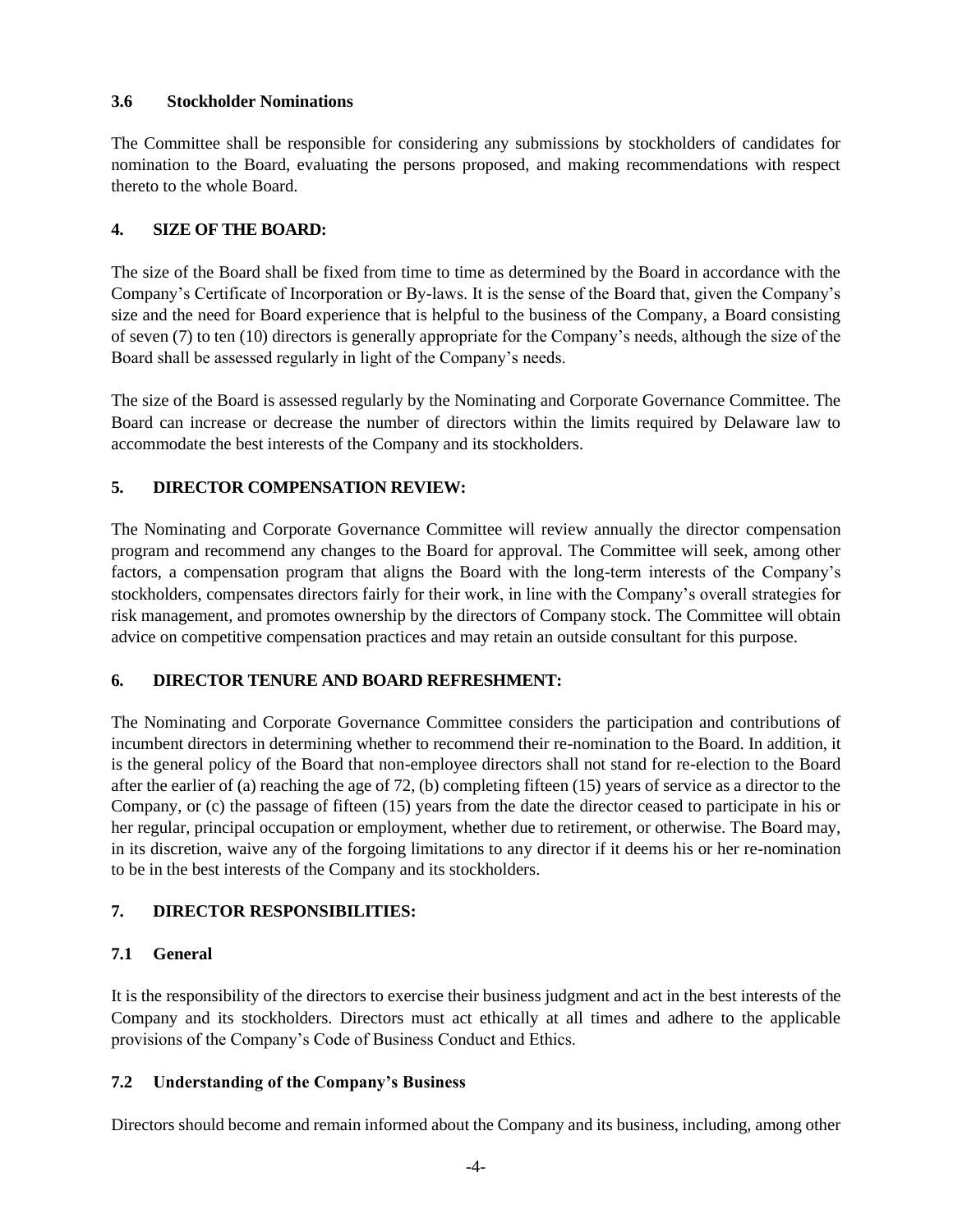#### **3.6 Stockholder Nominations**

The Committee shall be responsible for considering any submissions by stockholders of candidates for nomination to the Board, evaluating the persons proposed, and making recommendations with respect thereto to the whole Board.

### **4. SIZE OF THE BOARD:**

The size of the Board shall be fixed from time to time as determined by the Board in accordance with the Company's Certificate of Incorporation or By-laws. It is the sense of the Board that, given the Company's size and the need for Board experience that is helpful to the business of the Company, a Board consisting of seven (7) to ten (10) directors is generally appropriate for the Company's needs, although the size of the Board shall be assessed regularly in light of the Company's needs.

The size of the Board is assessed regularly by the Nominating and Corporate Governance Committee. The Board can increase or decrease the number of directors within the limits required by Delaware law to accommodate the best interests of the Company and its stockholders.

# **5. DIRECTOR COMPENSATION REVIEW:**

The Nominating and Corporate Governance Committee will review annually the director compensation program and recommend any changes to the Board for approval. The Committee will seek, among other factors, a compensation program that aligns the Board with the long-term interests of the Company's stockholders, compensates directors fairly for their work, in line with the Company's overall strategies for risk management, and promotes ownership by the directors of Company stock. The Committee will obtain advice on competitive compensation practices and may retain an outside consultant for this purpose.

# **6. DIRECTOR TENURE AND BOARD REFRESHMENT:**

The Nominating and Corporate Governance Committee considers the participation and contributions of incumbent directors in determining whether to recommend their re-nomination to the Board. In addition, it is the general policy of the Board that non-employee directors shall not stand for re-election to the Board after the earlier of (a) reaching the age of 72, (b) completing fifteen (15) years of service as a director to the Company, or (c) the passage of fifteen (15) years from the date the director ceased to participate in his or her regular, principal occupation or employment, whether due to retirement, or otherwise. The Board may, in its discretion, waive any of the forgoing limitations to any director if it deems his or her re-nomination to be in the best interests of the Company and its stockholders.

# **7. DIRECTOR RESPONSIBILITIES:**

### **7.1 General**

It is the responsibility of the directors to exercise their business judgment and act in the best interests of the Company and its stockholders. Directors must act ethically at all times and adhere to the applicable provisions of the Company's Code of Business Conduct and Ethics.

### **7.2 Understanding of the Company's Business**

Directors should become and remain informed about the Company and its business, including, among other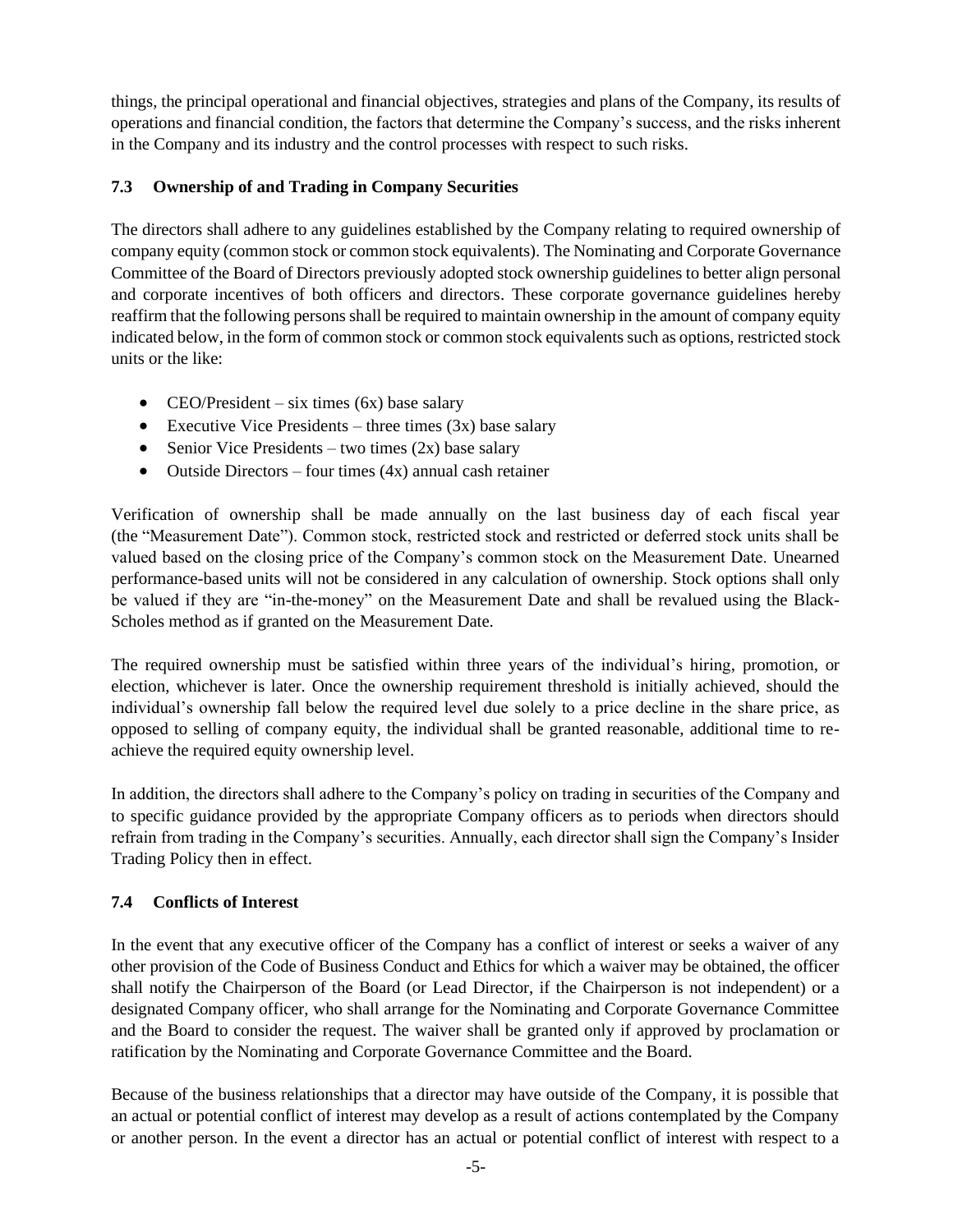things, the principal operational and financial objectives, strategies and plans of the Company, its results of operations and financial condition, the factors that determine the Company's success, and the risks inherent in the Company and its industry and the control processes with respect to such risks.

## **7.3 Ownership of and Trading in Company Securities**

The directors shall adhere to any guidelines established by the Company relating to required ownership of company equity (common stock or common stock equivalents). The Nominating and Corporate Governance Committee of the Board of Directors previously adopted stock ownership guidelines to better align personal and corporate incentives of both officers and directors. These corporate governance guidelines hereby reaffirm that the following persons shall be required to maintain ownership in the amount of company equity indicated below, in the form of common stock or common stock equivalents such as options, restricted stock units or the like:

- CEO/President six times  $(6x)$  base salary
- Executive Vice Presidents three times  $(3x)$  base salary
- Senior Vice Presidents two times  $(2x)$  base salary
- Outside Directors four times  $(4x)$  annual cash retainer

Verification of ownership shall be made annually on the last business day of each fiscal year (the "Measurement Date"). Common stock, restricted stock and restricted or deferred stock units shall be valued based on the closing price of the Company's common stock on the Measurement Date. Unearned performance-based units will not be considered in any calculation of ownership. Stock options shall only be valued if they are "in-the-money" on the Measurement Date and shall be revalued using the Black-Scholes method as if granted on the Measurement Date.

The required ownership must be satisfied within three years of the individual's hiring, promotion, or election, whichever is later. Once the ownership requirement threshold is initially achieved, should the individual's ownership fall below the required level due solely to a price decline in the share price, as opposed to selling of company equity, the individual shall be granted reasonable, additional time to reachieve the required equity ownership level.

In addition, the directors shall adhere to the Company's policy on trading in securities of the Company and to specific guidance provided by the appropriate Company officers as to periods when directors should refrain from trading in the Company's securities. Annually, each director shall sign the Company's Insider Trading Policy then in effect.

### **7.4 Conflicts of Interest**

In the event that any executive officer of the Company has a conflict of interest or seeks a waiver of any other provision of the Code of Business Conduct and Ethics for which a waiver may be obtained, the officer shall notify the Chairperson of the Board (or Lead Director, if the Chairperson is not independent) or a designated Company officer, who shall arrange for the Nominating and Corporate Governance Committee and the Board to consider the request. The waiver shall be granted only if approved by proclamation or ratification by the Nominating and Corporate Governance Committee and the Board.

Because of the business relationships that a director may have outside of the Company, it is possible that an actual or potential conflict of interest may develop as a result of actions contemplated by the Company or another person. In the event a director has an actual or potential conflict of interest with respect to a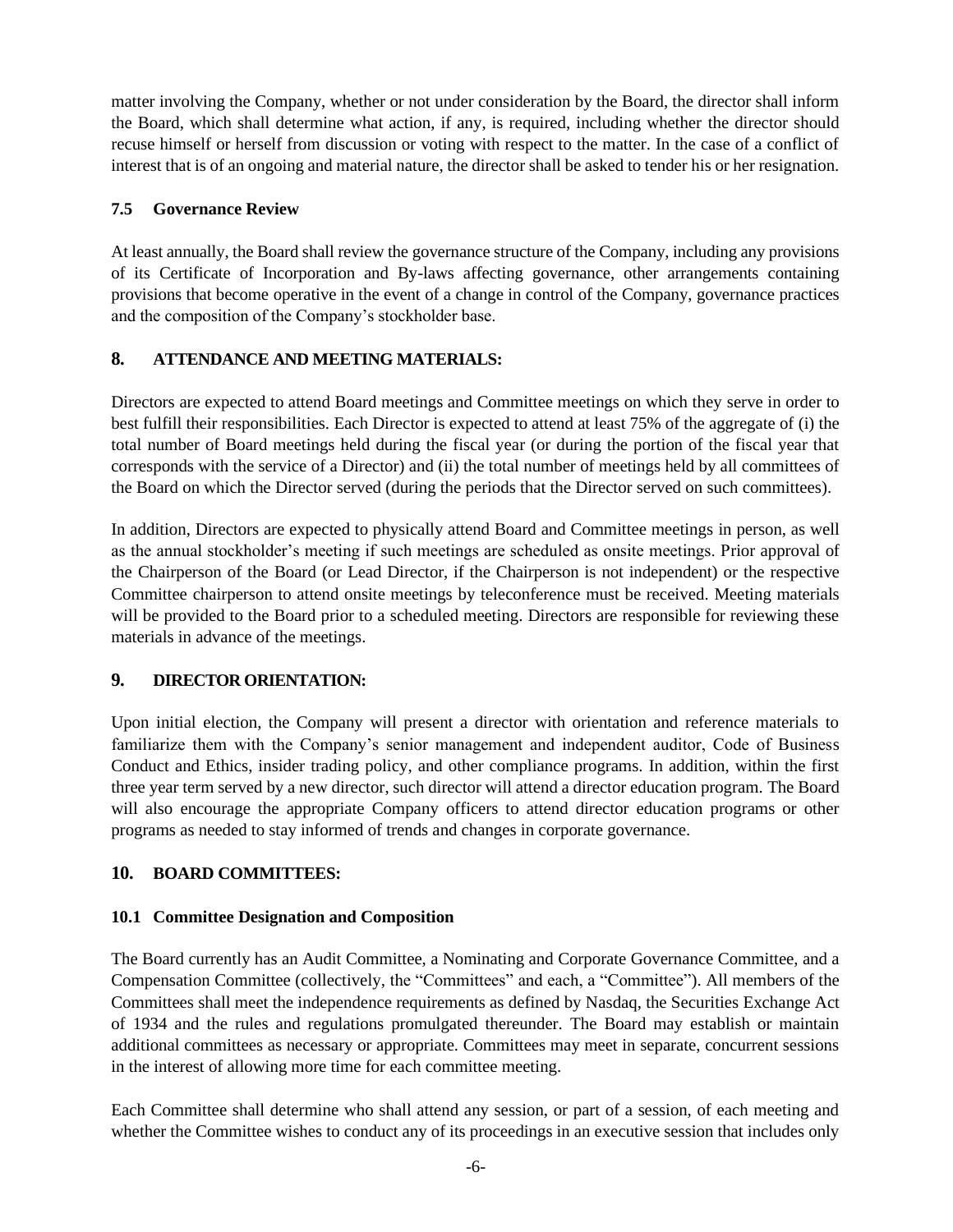matter involving the Company, whether or not under consideration by the Board, the director shall inform the Board, which shall determine what action, if any, is required, including whether the director should recuse himself or herself from discussion or voting with respect to the matter. In the case of a conflict of interest that is of an ongoing and material nature, the director shall be asked to tender his or her resignation.

### **7.5 Governance Review**

At least annually, the Board shall review the governance structure of the Company, including any provisions of its Certificate of Incorporation and By-laws affecting governance, other arrangements containing provisions that become operative in the event of a change in control of the Company, governance practices and the composition of the Company's stockholder base.

# **8. ATTENDANCE AND MEETING MATERIALS:**

Directors are expected to attend Board meetings and Committee meetings on which they serve in order to best fulfill their responsibilities. Each Director is expected to attend at least 75% of the aggregate of (i) the total number of Board meetings held during the fiscal year (or during the portion of the fiscal year that corresponds with the service of a Director) and (ii) the total number of meetings held by all committees of the Board on which the Director served (during the periods that the Director served on such committees).

In addition, Directors are expected to physically attend Board and Committee meetings in person, as well as the annual stockholder's meeting if such meetings are scheduled as onsite meetings. Prior approval of the Chairperson of the Board (or Lead Director, if the Chairperson is not independent) or the respective Committee chairperson to attend onsite meetings by teleconference must be received. Meeting materials will be provided to the Board prior to a scheduled meeting. Directors are responsible for reviewing these materials in advance of the meetings.

# **9. DIRECTOR ORIENTATION:**

Upon initial election, the Company will present a director with orientation and reference materials to familiarize them with the Company's senior management and independent auditor, Code of Business Conduct and Ethics, insider trading policy, and other compliance programs. In addition, within the first three year term served by a new director, such director will attend a director education program. The Board will also encourage the appropriate Company officers to attend director education programs or other programs as needed to stay informed of trends and changes in corporate governance.

# **10. BOARD COMMITTEES:**

### **10.1 Committee Designation and Composition**

The Board currently has an Audit Committee, a Nominating and Corporate Governance Committee, and a Compensation Committee (collectively, the "Committees" and each, a "Committee"). All members of the Committees shall meet the independence requirements as defined by Nasdaq, the Securities Exchange Act of 1934 and the rules and regulations promulgated thereunder. The Board may establish or maintain additional committees as necessary or appropriate. Committees may meet in separate, concurrent sessions in the interest of allowing more time for each committee meeting.

Each Committee shall determine who shall attend any session, or part of a session, of each meeting and whether the Committee wishes to conduct any of its proceedings in an executive session that includes only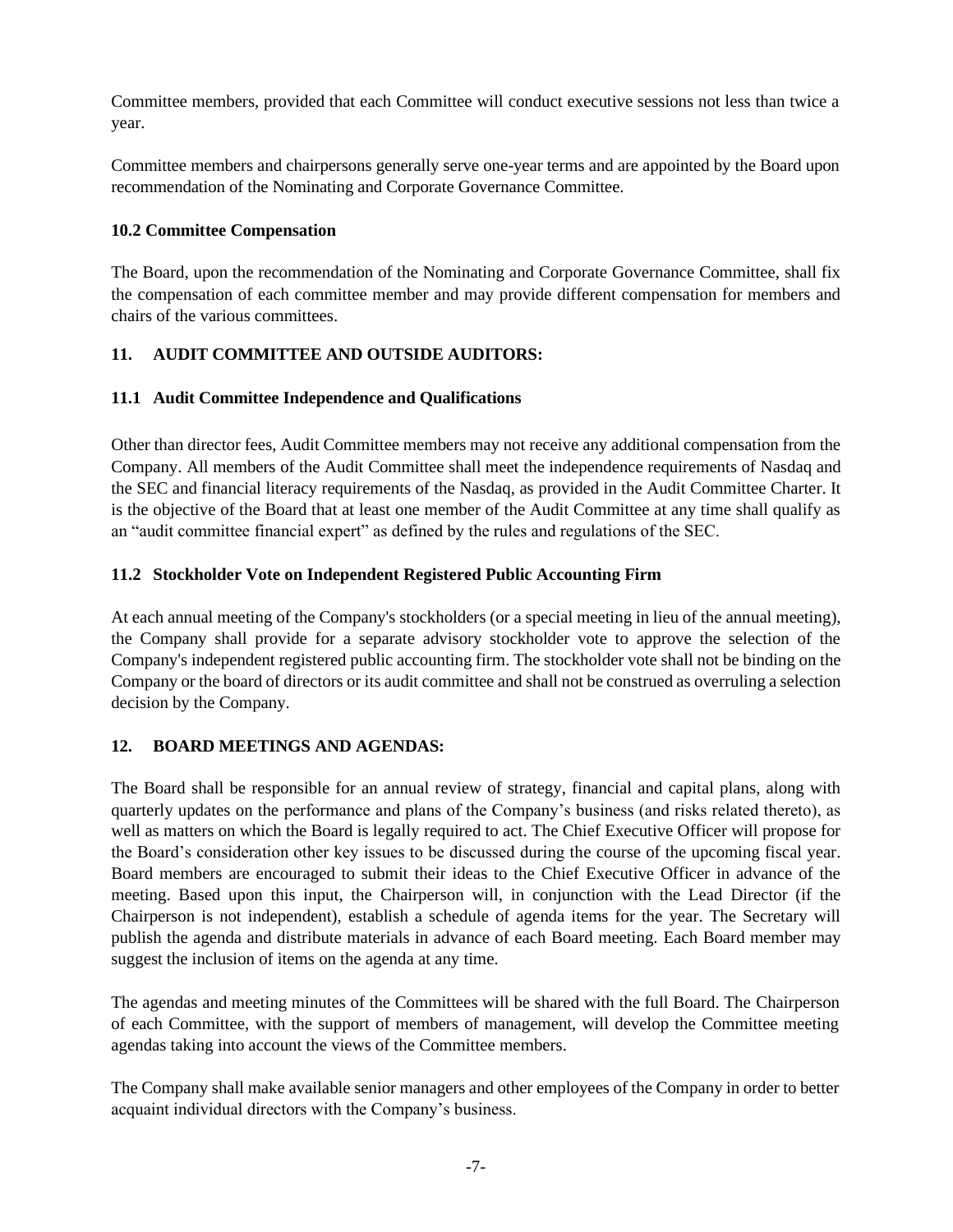Committee members, provided that each Committee will conduct executive sessions not less than twice a year.

Committee members and chairpersons generally serve one-year terms and are appointed by the Board upon recommendation of the Nominating and Corporate Governance Committee.

### **10.2 Committee Compensation**

The Board, upon the recommendation of the Nominating and Corporate Governance Committee, shall fix the compensation of each committee member and may provide different compensation for members and chairs of the various committees.

### **11. AUDIT COMMITTEE AND OUTSIDE AUDITORS:**

### **11.1 Audit Committee Independence and Qualifications**

Other than director fees, Audit Committee members may not receive any additional compensation from the Company. All members of the Audit Committee shall meet the independence requirements of Nasdaq and the SEC and financial literacy requirements of the Nasdaq, as provided in the Audit Committee Charter. It is the objective of the Board that at least one member of the Audit Committee at any time shall qualify as an "audit committee financial expert" as defined by the rules and regulations of the SEC.

### **11.2 Stockholder Vote on Independent Registered Public Accounting Firm**

At each annual meeting of the Company's stockholders (or a special meeting in lieu of the annual meeting), the Company shall provide for a separate advisory stockholder vote to approve the selection of the Company's independent registered public accounting firm. The stockholder vote shall not be binding on the Company or the board of directors or its audit committee and shall not be construed as overruling a selection decision by the Company.

### **12. BOARD MEETINGS AND AGENDAS:**

The Board shall be responsible for an annual review of strategy, financial and capital plans, along with quarterly updates on the performance and plans of the Company's business (and risks related thereto), as well as matters on which the Board is legally required to act. The Chief Executive Officer will propose for the Board's consideration other key issues to be discussed during the course of the upcoming fiscal year. Board members are encouraged to submit their ideas to the Chief Executive Officer in advance of the meeting. Based upon this input, the Chairperson will, in conjunction with the Lead Director (if the Chairperson is not independent), establish a schedule of agenda items for the year. The Secretary will publish the agenda and distribute materials in advance of each Board meeting. Each Board member may suggest the inclusion of items on the agenda at any time.

The agendas and meeting minutes of the Committees will be shared with the full Board. The Chairperson of each Committee, with the support of members of management, will develop the Committee meeting agendas taking into account the views of the Committee members.

The Company shall make available senior managers and other employees of the Company in order to better acquaint individual directors with the Company's business.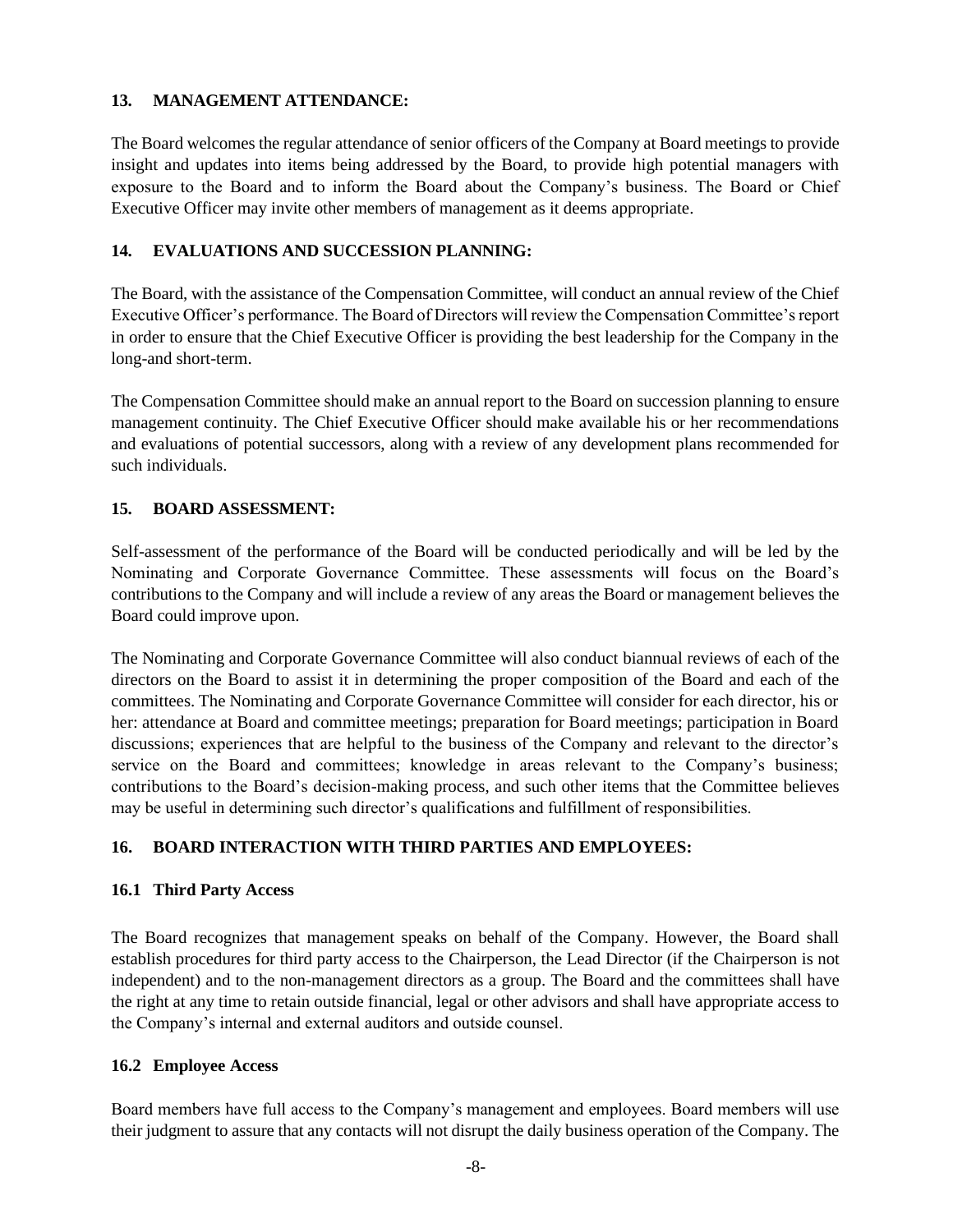#### **13. MANAGEMENT ATTENDANCE:**

The Board welcomes the regular attendance of senior officers of the Company at Board meetings to provide insight and updates into items being addressed by the Board, to provide high potential managers with exposure to the Board and to inform the Board about the Company's business. The Board or Chief Executive Officer may invite other members of management as it deems appropriate.

### **14. EVALUATIONS AND SUCCESSION PLANNING:**

The Board, with the assistance of the Compensation Committee, will conduct an annual review of the Chief Executive Officer's performance. The Board of Directors will review the Compensation Committee's report in order to ensure that the Chief Executive Officer is providing the best leadership for the Company in the long-and short-term.

The Compensation Committee should make an annual report to the Board on succession planning to ensure management continuity. The Chief Executive Officer should make available his or her recommendations and evaluations of potential successors, along with a review of any development plans recommended for such individuals.

## **15. BOARD ASSESSMENT:**

Self-assessment of the performance of the Board will be conducted periodically and will be led by the Nominating and Corporate Governance Committee. These assessments will focus on the Board's contributions to the Company and will include a review of any areas the Board or management believes the Board could improve upon.

The Nominating and Corporate Governance Committee will also conduct biannual reviews of each of the directors on the Board to assist it in determining the proper composition of the Board and each of the committees. The Nominating and Corporate Governance Committee will consider for each director, his or her: attendance at Board and committee meetings; preparation for Board meetings; participation in Board discussions; experiences that are helpful to the business of the Company and relevant to the director's service on the Board and committees; knowledge in areas relevant to the Company's business; contributions to the Board's decision-making process, and such other items that the Committee believes may be useful in determining such director's qualifications and fulfillment of responsibilities.

### **16. BOARD INTERACTION WITH THIRD PARTIES AND EMPLOYEES:**

### **16.1 Third Party Access**

The Board recognizes that management speaks on behalf of the Company. However, the Board shall establish procedures for third party access to the Chairperson, the Lead Director (if the Chairperson is not independent) and to the non-management directors as a group. The Board and the committees shall have the right at any time to retain outside financial, legal or other advisors and shall have appropriate access to the Company's internal and external auditors and outside counsel.

#### **16.2 Employee Access**

Board members have full access to the Company's management and employees. Board members will use their judgment to assure that any contacts will not disrupt the daily business operation of the Company. The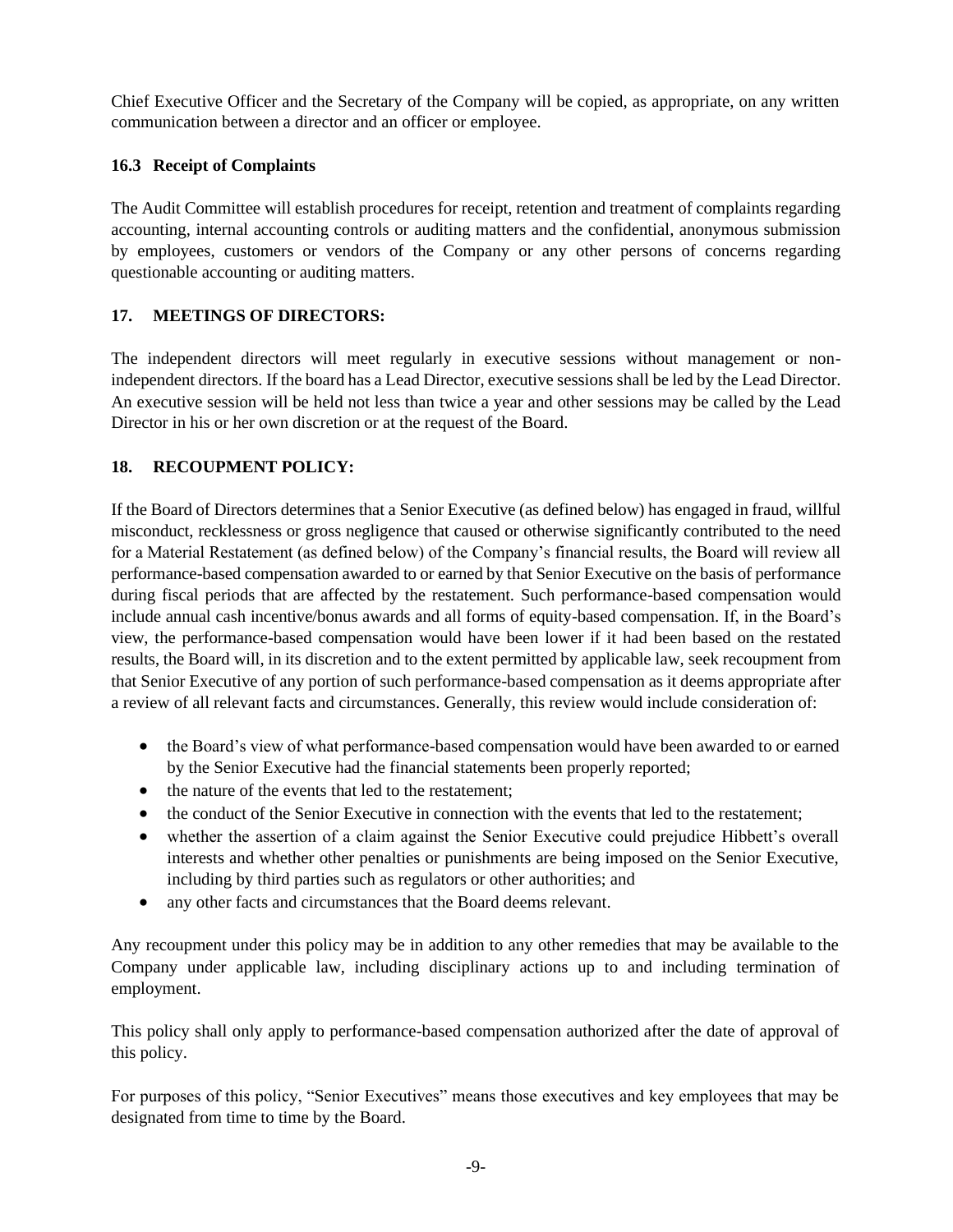Chief Executive Officer and the Secretary of the Company will be copied, as appropriate, on any written communication between a director and an officer or employee.

## **16.3 Receipt of Complaints**

The Audit Committee will establish procedures for receipt, retention and treatment of complaints regarding accounting, internal accounting controls or auditing matters and the confidential, anonymous submission by employees, customers or vendors of the Company or any other persons of concerns regarding questionable accounting or auditing matters.

## **17. MEETINGS OF DIRECTORS:**

The independent directors will meet regularly in executive sessions without management or nonindependent directors. If the board has a Lead Director, executive sessions shall be led by the Lead Director. An executive session will be held not less than twice a year and other sessions may be called by the Lead Director in his or her own discretion or at the request of the Board.

## **18. RECOUPMENT POLICY:**

If the Board of Directors determines that a Senior Executive (as defined below) has engaged in fraud, willful misconduct, recklessness or gross negligence that caused or otherwise significantly contributed to the need for a Material Restatement (as defined below) of the Company's financial results, the Board will review all performance-based compensation awarded to or earned by that Senior Executive on the basis of performance during fiscal periods that are affected by the restatement. Such performance-based compensation would include annual cash incentive/bonus awards and all forms of equity-based compensation. If, in the Board's view, the performance-based compensation would have been lower if it had been based on the restated results, the Board will, in its discretion and to the extent permitted by applicable law, seek recoupment from that Senior Executive of any portion of such performance-based compensation as it deems appropriate after a review of all relevant facts and circumstances. Generally, this review would include consideration of:

- the Board's view of what performance-based compensation would have been awarded to or earned by the Senior Executive had the financial statements been properly reported;
- the nature of the events that led to the restatement:
- the conduct of the Senior Executive in connection with the events that led to the restatement;
- whether the assertion of a claim against the Senior Executive could prejudice Hibbett's overall interests and whether other penalties or punishments are being imposed on the Senior Executive, including by third parties such as regulators or other authorities; and
- any other facts and circumstances that the Board deems relevant.

Any recoupment under this policy may be in addition to any other remedies that may be available to the Company under applicable law, including disciplinary actions up to and including termination of employment.

This policy shall only apply to performance-based compensation authorized after the date of approval of this policy.

For purposes of this policy, "Senior Executives" means those executives and key employees that may be designated from time to time by the Board.